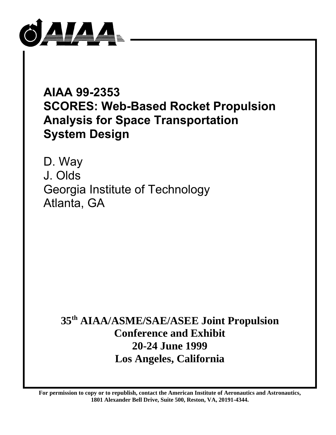

# **AIAA 99-2353 SCORES: Web-Based Rocket Propulsion Analysis for Space Transportation System Design**

D. Way J. Olds Georgia Institute of Technology Atlanta, GA

# **35th AIAA/ASME/SAE/ASEE Joint Propulsion Conference and Exhibit 20-24 June 1999 Los Angeles, California**

**For permission to copy or to republish, contact the American Institute of Aeronautics and Astronautics, 1801 Alexander Bell Drive, Suite 500, Reston, VA, 20191-4344.**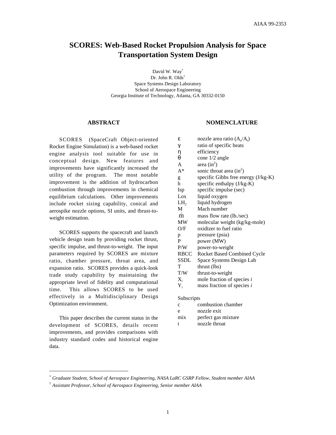## **SCORES: Web-Based Rocket Propulsion Analysis for Space Transportation System Design**

David W. Way\* Dr. John R. Olds† Space Systems Design Laboratory School of Aerospace Engineering Georgia Institute of Technology, Atlanta, GA 30332-0150

#### **ABSTRACT**

SCORES (SpaceCraft Object-oriented Rocket Engine Simulation) is a web-based rocket engine analysis tool suitable for use in conceptual design. New features and improvements have significantly increased the utility of the program. The most notable improvement is the addition of hydrocarbon combustion through improvements in chemical equilibrium calculations. Other improvements include rocket sizing capability, conical and aerospike nozzle options, SI units, and thrust-toweight estimation.

SCORES supports the spacecraft and launch vehicle design team by providing rocket thrust, specific impulse, and thrust-to-weight. The input parameters required by SCORES are mixture ratio, chamber pressure, throat area, and expansion ratio. SCORES provides a quick-look trade study capability by maintaining the appropriate level of fidelity and computational time. This allows SCORES to be used effectively in a Multidisciplinary Design Optimization environment.

This paper describes the current status in the development of SCORES, details recent improvements, and provides comparisons with industry standard codes and historical engine data.

#### **NOMENCLATURE**

 $\varepsilon$  nozzle area ratio  $(A_e/A_t)$ γ ratio of specific heats η efficiency  $\theta$  cone 1/2 angle A area  $(in^2)$  $A^*$  sonic throat area (in<sup>2</sup>) g specific Gibbs free energy (J/kg-K) h specific enthalpy (J/kg-K) Isp specific impulse (sec) Lox liquid oxygen  $LH<sub>2</sub>$  liquid hydrogen M Mach number  $\dot{m}$  mass flow rate (lb./sec) MW molecular weight (kg/kg-mole) O/F oxidizer to fuel ratio p pressure (psia) P power (MW) P/W power-to-weight RBCC Rocket Based Combined Cycle SSDL Space Systems Design Lab T thrust (lbs) T/W thrust-to-weight Xi mole fraction of species *i* Yi mass fraction of species *i* Subscripts c combustion chamber

## e nozzle exit mix perfect gas mixture t nozzle throat

 <sup>\*</sup> *Graduate Student, School of Aerospace Engineering, NASA LaRC GSRP Fellow, Student member AIAA*

<sup>†</sup> *Assistant Professor, School of Aerospace Engineering, Senior member AIAA*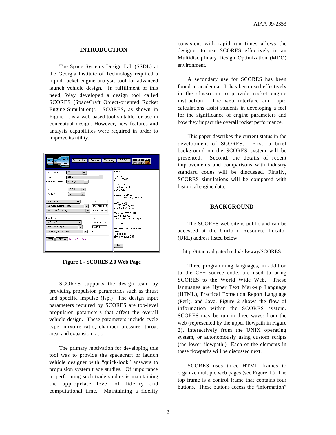#### **INTRODUCTION**

The Space Systems Design Lab (SSDL) at the Georgia Institute of Technology required a liquid rocket engine analysis tool for advanced launch vehicle design. In fulfillment of this need, Way developed a design tool called SCORES (SpaceCraft Object-oriented Rocket Engine Simulation)<sup>1</sup>. SCORES, as shown in Figure 1, is a web-based tool suitable for use in conceptual design. However, new features and analysis capabilities were required in order to improve its utility.

| Information<br>Rockets<br>Chemistry                                                                                                                                                                                                                                                                                                                                                                                                                                                                                            | RBCC<br>119<br>WebTracker                                                                                                                                                                                                                                                                                                                                                                        |
|--------------------------------------------------------------------------------------------------------------------------------------------------------------------------------------------------------------------------------------------------------------------------------------------------------------------------------------------------------------------------------------------------------------------------------------------------------------------------------------------------------------------------------|--------------------------------------------------------------------------------------------------------------------------------------------------------------------------------------------------------------------------------------------------------------------------------------------------------------------------------------------------------------------------------------------------|
| $\overline{\mathtt{SI}}$<br>Output Units<br>$\overline{\phantom{a}}$<br>Ideal<br>Cycle<br>$\overline{\mathbf{r}}$<br>Average<br>Thrust to Weight<br>$\overline{\phantom{a}}$<br>$RP-1$<br>Fucl:<br>O <sub>2</sub><br>Oxidizer<br>mixture ratio<br>2.6<br>chamber pressure, atm<br>136.0544217<br>▼<br>calc. chamber temp.<br>leave blank<br>$\overline{\phantom{a}}$<br><b>Aves Datio</b><br>28<br>bell nozzle<br>leave blank<br>throat area, sq. in.<br>82.774<br>▼<br>ambient pressure, atm<br>U<br>$\overline{\phantom{a}}$ | Results:<br>lm= 2.6<br>phi= 1.30888<br>l⊤⊨ 3818 14 K<br>Pc= 136.054 stm<br>Pa= 0 atm<br>vamma= 1.21032<br>MW= 23.6035 kg/kg-mole<br>Me= 4.04204<br>At= 534.025 sq.cm.<br>Ae= 1.49527 sq.m.<br>$T_{\text{hinst}} = 1357.06 \text{ kN}$<br>$Isp = 335.1 sec$<br>Mass flow = $412.958$ kg/s<br>$T/W = 88.3$<br>expansion: underexpanded<br>choked, yes<br>internal shock: no<br>shock location: 0 % |
| Reset<br>Calculate Return to Hain Henn                                                                                                                                                                                                                                                                                                                                                                                                                                                                                         | Clear                                                                                                                                                                                                                                                                                                                                                                                            |

**Figure 1 - SCORES 2.0 Web Page**

SCORES supports the design team by providing propulsion parametrics such as thrust and specific impulse (Isp.) The design input parameters required by SCORES are top-level propulsion parameters that affect the overall vehicle design. These parameters include cycle type, mixture ratio, chamber pressure, throat area, and expansion ratio.

The primary motivation for developing this tool was to provide the spacecraft or launch vehicle designer with "quick-look" answers to propulsion system trade studies. Of importance in performing such trade studies is maintaining the appropriate level of fidelity and computational time. Maintaining a fidelity consistent with rapid run times allows the designer to use SCORES effectively in an Multidisciplinary Design Optimization (MDO) environment.

A secondary use for SCORES has been found in academia. It has been used effectively in the classroom to provide rocket engine instruction. The web interface and rapid calculations assist students in developing a feel for the significance of engine parameters and how they impact the overall rocket performance.

This paper describes the current status in the development of SCORES. First, a brief background on the SCORES system will be presented. Second, the details of recent improvements and comparisons with industry standard codes will be discussed. Finally, SCORES simulations will be compared with historical engine data.

#### **BACKGROUND**

The SCORES web site is public and can be accessed at the Uniform Resource Locator (URL) address listed below:

#### http://titan.cad.gatech.edu/~dwway/SCORES

Three programming languages, in addition to the C++ source code, are used to bring SCORES to the World Wide Web. These languages are Hyper Text Mark-up Language (HTML), Practical Extraction Report Language (Perl), and Java. Figure 2 shows the flow of information within the SCORES system. SCORES may be run in three ways: from the web (represented by the upper flowpath in Figure 2), interactively from the UNIX operating system, or autonomously using custom scripts (the lower flowpath.) Each of the elements in these flowpaths will be discussed next.

SCORES uses three HTML frames to organize multiple web pages (see Figure 1.) The top frame is a control frame that contains four buttons. These buttons access the "information"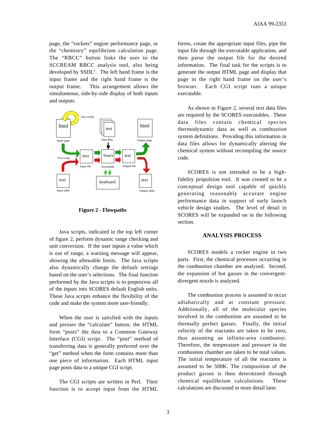page, the "rockets" engine performance page, or the "chemistry" equilibrium calculation page. The "RBCC" button links the user to the SCCREAM RBCC analysis tool, also being developed by  $SSDL<sup>2</sup>$ . The left hand frame is the input frame and the right hand frame is the output frame. This arrangement allows the simultaneous, side-by-side display of both inputs and outputs.



**Figure 2 - Flowpaths**

Java scripts, indicated in the top left corner of figure 2, perform dynamic range checking and unit conversion. If the user inputs a value which is out of range, a warning message will appear, showing the allowable limits. The Java scripts also dynamically change the default settings based on the user's selections. The final function performed by the Java scripts is to preprocess all of the inputs into SCORES default English units. These Java scripts enhance the flexibility of the code and make the system more user-friendly.

When the user is satisfied with the inputs and presses the "calculate" button, the HTML form "posts" the data to a Common Gateway Interface (CGI) script. The "post" method of transferring data is generally preferred over the "get" method when the form contains more than one piece of information. Each HTML input page posts data to a unique CGI script.

The CGI scripts are written in Perl. Their function is to accept input from the HTML forms, create the appropriate input files, pipe the input file through the executable application, and then parse the output file for the desired information. The final task for the scripts is to generate the output HTML page and display that page in the right hand frame on the user's browser. Each CGI script runs a unique executable.

As shown in Figure 2, several text data files are required by the SCORES executables. These data files contain chemical species thermodynamic data as well as combustion system definitions. Providing this information in data files allows for dynamically altering the chemical system without recompiling the source code.

SCORES is not intended to be a highfidelity propulsion tool. It was created to be a conceptual design tool capable of quickly generating reasonably accurate engine performance data in support of early launch vehicle design studies. The level of detail in SCORES will be expanded on in the following section.

#### **ANALYSIS PROCESS**

SCORES models a rocket engine in two parts. First, the chemical processes occurring in the combustion chamber are analyzed. Second, the expansion of hot gasses in the convergentdivergent nozzle is analyzed.

The combustion process is assumed to occur adiabatically and at constant pressure. Additionally, all of the molecular species involved in the combustion are assumed to be thermally perfect gasses. Finally, the initial velocity of the reactants are taken to be zero, thus assuming an infinite-area combustor. Therefore, the temperature and pressure in the combustion chamber are taken to be total values. The initial temperature of all the reactants is assumed to be 500K. The composition of the product gasses is then determined through chemical equilibrium calculations. These calculations are discussed in more detail later.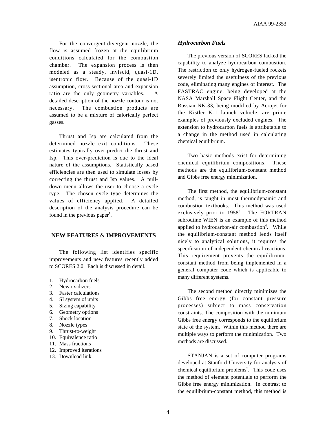For the convergent-divergent nozzle, the flow is assumed frozen at the equilibrium conditions calculated for the combustion chamber. The expansion process is then modeled as a steady, inviscid, quasi-1D, isentropic flow. Because of the quasi-1D assumption, cross-sectional area and expansion ratio are the only geometry variables. A detailed description of the nozzle contour is not necessary. The combustion products are assumed to be a mixture of calorically perfect gasses.

Thrust and Isp are calculated from the determined nozzle exit conditions. These estimates typically over-predict the thrust and Isp. This over-prediction is due to the ideal nature of the assumptions. Statistically based efficiencies are then used to simulate losses by correcting the thrust and Isp values. A pulldown menu allows the user to choose a cycle type. The chosen cycle type determines the values of efficiency applied. A detailed description of the analysis procedure can be found in the previous paper<sup>1</sup>.

### **NEW FEATURES** & **IMPROVEMENTS**

The following list identifies specific improvements and new features recently added to SCORES 2.0. Each is discussed in detail.

- 1. Hydrocarbon fuels
- 2. New oxidizers
- 3. Faster calculations
- 4. SI system of units
- 5. Sizing capability
- 6. Geometry options
- 7. Shock location
- 8. Nozzle types
- 9. Thrust-to-weight
- 10. Equivalence ratio
- 11. Mass fractions
- 12. Improved iterations
- 13. Download link

#### *Hydrocarbon Fuels*

The previous version of SCORES lacked the capability to analyze hydrocarbon combustion. The restriction to only hydrogen-fueled rockets severely limited the usefulness of the previous code, eliminating many engines of interest. The FASTRAC engine, being developed at the NASA Marshall Space Flight Center, and the Russian NK-33, being modified by Aerojet for the Kistler K-1 launch vehicle, are prime examples of previously excluded engines. The extension to hydrocarbon fuels is attributable to a change in the method used in calculating chemical equilibrium.

Two basic methods exist for determining chemical equilibrium compositions. These methods are the equilibrium-constant method and Gibbs free energy minimization.

The first method, the equilibrium-constant method, is taught in most thermodynamic and combustion textbooks. This method was used exclusively prior to 1958<sup>3</sup>. The FORTRAN subroutine WIEN is an example of this method applied to hydrocarbon-air combustion<sup>4</sup>. While the equilibrium-constant method lends itself nicely to analytical solutions, it requires the specification of independent chemical reactions. This requirement prevents the equilibriumconstant method from being implemented in a general computer code which is applicable to many different systems.

The second method directly minimizes the Gibbs free energy (for constant pressure processes) subject to mass conservation constraints. The composition with the minimum Gibbs free energy corresponds to the equilibrium state of the system. Within this method there are multiple ways to perform the minimization. Two methods are discussed.

STANJAN is a set of computer programs developed at Stanford University for analysis of chemical equilibrium problems<sup>5</sup>. This code uses the method of element potentials to perform the Gibbs free energy minimization. In contrast to the equilibrium-constant method, this method is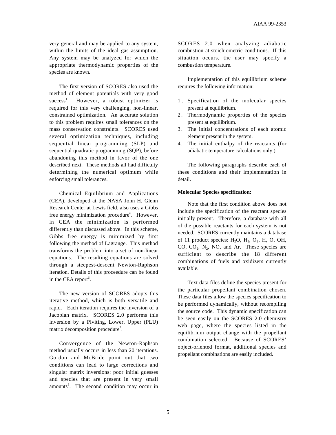very general and may be applied to any system, within the limits of the ideal gas assumption. Any system may be analyzed for which the appropriate thermodynamic properties of the species are known.

The first version of SCORES also used the method of element potentials with very good success<sup>1</sup>. However, a robust optimizer is required for this very challenging, non-linear, constrained optimization. An accurate solution to this problem requires small tolerances on the mass conservation constraints. SCORES used several optimization techniques, including sequential linear programming (SLP) and sequential quadratic programming (SQP), before abandoning this method in favor of the one described next. These methods all had difficulty determining the numerical optimum while enforcing small tolerances.

Chemical Equilibrium and Applications (CEA), developed at the NASA John H. Glenn Research Center at Lewis field, also uses a Gibbs free energy minimization procedure<sup>6</sup>. However, in CEA the minimization is performed differently than discussed above. In this scheme, Gibbs free energy is minimized by first following the method of Lagrange. This method transforms the problem into a set of non-linear equations. The resulting equations are solved through a steepest-descent Newton-Raphson iteration. Details of this proceedure can be found in the CEA report<sup>6</sup>.

The new version of SCORES adopts this iterative method, which is both versatile and rapid. Each iteration requires the inversion of a Jacobian matrix. SCORES 2.0 performs this inversion by a Piviting, Lower, Upper (PLU) matrix decomposition procedure<sup>7</sup>.

Convergence of the Newton-Raphson method usually occurs in less than 20 iterations. Gordon and McBride point out that two conditions can lead to large corrections and singular matrix inversions: poor initial guesses and species that are present in very small amounts<sup>6</sup>. The second condition may occur in

SCORES 2.0 when analyzing adiabatic combustion at stoichiometric conditions. If this situation occurs, the user may specify a combustion temperature.

Implementation of this equilibrium scheme requires the following information:

- 1 . Specification of the molecular species present at equilibrium.
- 2. Thermodynamic properties of the species present at equilibrium.
- 3 . The initial concentrations of each atomic element present in the system.
- 4 . The initial enthalpy of the reactants (for adiabatic temperature calculations only.)

The following paragraphs describe each of these conditions and their implementation in detail.

#### **Molecular Species specification:**

Note that the first condition above does not include the specification of the reactant species initially present. Therefore, a database with all of the possible reactants for each system is not needed. SCORES currently maintains a database of 11 product species:  $H_2O$ ,  $H_2$ ,  $O_2$ ,  $H$ ,  $O$ ,  $OH$ , CO,  $CO_2$ ,  $N_2$ , NO, and Ar. These species are sufficient to describe the 18 different combinations of fuels and oxidizers currently available.

Text data files define the species present for the particular propellant combination chosen. These data files allow the species specification to be performed dynamically, without recompiling the source code. This dynamic specification can be seen easily on the SCORES 2.0 chemistry web page, where the species listed in the equilibrium output change with the propellant combination selected. Because of SCORES' object-oriented format, additional species and propellant combinations are easily included.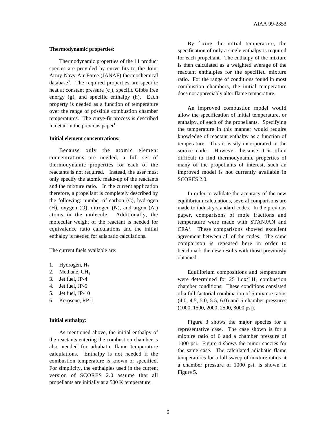#### **Thermodynamic properties:**

Thermodynamic properties of the 11 product species are provided by curve-fits to the Joint Army Navy Air Force (JANAF) thermochemical database<sup>8</sup>. The required properties are specific heat at constant pressure  $(c_n)$ , specific Gibbs free energy (g), and specific enthalpy (h). Each property is needed as a function of temperature over the range of possible combustion chamber temperatures. The curve-fit process is described in detail in the previous paper<sup>1</sup>.

#### **Initial element concentrations:**

Because only the atomic element concentrations are needed, a full set of thermodynamic properties for each of the reactants is not required. Instead, the user must only specify the atomic make-up of the reactants and the mixture ratio. In the current application therefore, a propellant is completely described by the following: number of carbon (C), hydrogen (H), oxygen (O), nitrogen (N), and argon (Ar) atoms in the molecule. Additionally, the molecular weight of the reactant is needed for equivalence ratio calculations and the initial enthalpy is needed for adiabatic calculations.

The current fuels available are:

- 1. Hydrogen,  $H<sub>2</sub>$
- 2. Methane, CH<sub>4</sub>
- 3. Jet fuel, JP-4
- 4. Jet fuel, JP-5
- 5. Jet fuel, JP-10
- 6. Kerosene, RP-1

#### **Initial enthalpy:**

As mentioned above, the initial enthalpy of the reactants entering the combustion chamber is also needed for adiabatic flame temperature calculations. Enthalpy is not needed if the combustion temperature is known or specified. For simplicity, the enthalpies used in the current version of SCORES 2.0 assume that all propellants are initially at a 500 K temperature.

By fixing the initial temperature, the specification of only a single enthalpy is required for each propellant. The enthalpy of the mixture is then calculated as a weighted average of the reactant enthalpies for the specified mixture ratio. For the range of conditions found in most combustion chambers, the initial temperature does not appreciably alter flame temperature.

An improved combustion model would allow the specification of initial temperature, or enthalpy, of each of the propellants. Specifying the temperature in this manner would require knowledge of reactant enthalpy as a function of temperature. This is easily incorporated in the source code. However, because it is often difficult to find thermodynamic properties of many of the propellants of interest, such an improved model is not currently available in SCORES 2.0.

In order to validate the accuracy of the new equilibrium calculations, several comparisons are made to industry standard codes. In the previous paper, comparisons of mole fractions and temperature were made with STANJAN and  $CEA<sup>1</sup>$ . These comparisons showed excellent agreement between all of the codes. The same comparison is repeated here in order to benchmark the new results with those previously obtained.

Equilibrium compositions and temperature were determined for  $25$  Lox/LH<sub>2</sub> combustion chamber conditions. These conditions consisted of a full-factorial combination of 5 mixture ratios (4.0, 4.5, 5.0, 5.5, 6.0) and 5 chamber pressures (1000, 1500, 2000, 2500, 3000 psi).

Figure 3 shows the major species for a representative case. The case shown is for a mixture ratio of 6 and a chamber pressure of 1000 psi. Figure 4 shows the minor species for the same case. The calculated adiabatic flame temperatures for a full sweep of mixture ratios at a chamber pressure of 1000 psi. is shown in Figure 5.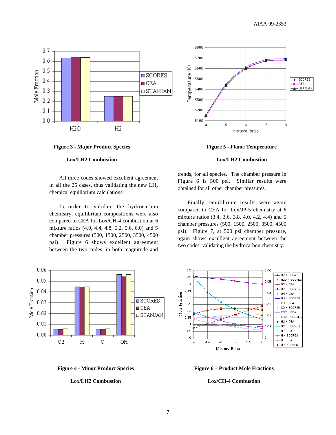



#### **Lox/LH2 Combustion**

All three codes showed excellent agreement in all the  $25$  cases, thus validating the new  $LH<sub>2</sub>$ chemical equilibrium calculations.

In order to validate the hydrocarbon chemistry, equilibrium compositions were also compared to CEA for Lox/CH-4 combustion at 6 mixture ratios (4.0, 4.4, 4.8, 5.2, 5.6, 6.0) and 5 chamber pressures (500, 1500, 2500, 3500, 4500 psi). Figure 6 shows excellent agreement between the two codes, in both magnitude and





## **Lox/LH2 Combustion**



**Figure 5 - Flame Temperature**

#### **Lox/LH2 Combustion**

trends, for all species. The chamber pressure in Figure 6 is 500 psi. Similar results were obtained for all other chamber pressures.

Finally, equilibrium results were again compared to CEA for Lox/JP-5 chemistry at 6 mixture ratios (3.4, 3.6, 3.8, 4.0, 4.2, 4.4) and 5 chamber pressures (500, 1500, 2500, 3500, 4500 psi). Figure 7, at 500 psi chamber pressure, again shows excellent agreement between the two codes, validating the hydrocarbon chemistry.



**Figure 6 – Product Mole Fractions**

#### **Lox/CH-4 Combustion**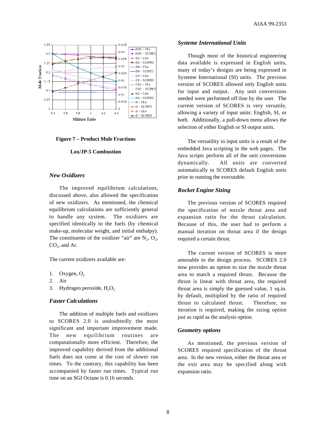

**Figure 7 – Product Mole Fractions**

#### **Lox/JP-5 Combustion**

#### *New Oxidizers*

The improved equilibrium calculations, discussed above, also allowed the specification of new oxidizers. As mentioned, the chemical equilibrium calculations are sufficiently general to handle any system. The oxidizers are specified identically to the fuels (by chemical make-up, molecular weight, and initial enthalpy). The constituents of the oxidizer "air" are  $N_2$ ,  $O_2$ ,  $CO<sub>2</sub>$ , and Ar.

The current oxidizers available are:

- 1. Oxygen,  $O<sub>2</sub>$
- 2. Air
- 3. Hydrogen peroxide,  $H_2O_2$

#### *Faster Calculations*

The addition of multiple fuels and oxidizers to SCORES 2.0 is undoubtedly the most significant and important improvement made. The new equilibrium routines are computationally more efficient. Therefore, the improved capability derived from the additional fuels does not come at the cost of slower run times. To the contrary, this capability has been accompanied by faster run times. Typical run time on an SGI Octane is 0.16 seconds.

#### *Systeme International Units*

Though most of the historical engineering data available is expressed in English units, many of today's designs are being expressed in Systeme International (SI) units. The previous version of SCORES allowed only English units for input and output. Any unit conversions needed were performed off-line by the user. The current version of SCORES is very versatile, allowing a variety of input units: English, SI, or both. Additionally, a pull-down menu allows the selection of either English or SI output units.

The versatility in input units is a result of the embedded Java scripting in the web pages. The Java scripts perform all of the unit conversions dynamically. All units are converted automatically to SCORES default English units prior to running the executable.

#### *Rocket Engine Sizing*

The previous version of SCORES required the specification of nozzle throat area and expansion ratio for the thrust calculation. Because of this, the user had to perform a manual iteration on throat area if the design required a certain thrust.

The current version of SCORES is more amenable to the design process. SCORES 2.0 now provides an option to size the nozzle throat area to match a required thrust. Because the thrust is linear with throat area, the required throat area is simply the guessed value, 1 sq.in. by default, multiplied by the ratio of required thrust to calculated thrust. Therefore, no iteration is required, making the sizing option just as rapid as the analysis option.

#### *Geometry options*

As mentioned, the previous version of SCORES required specification of the throat area. In the new version, either the throat area or the exit area may be specified along with expansion ratio.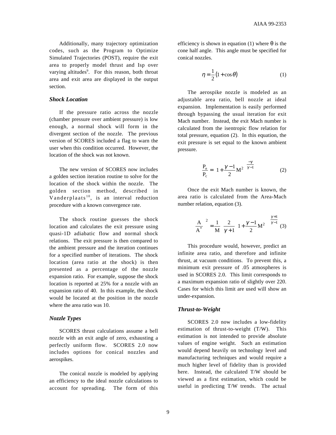Additionally, many trajectory optimization codes, such as the Program to Optimize Simulated Trajectories (POST), require the exit area to properly model thrust and Isp over varying altitudes<sup>9</sup>. For this reason, both throat area and exit area are displayed in the output section.

## *Shock Location*

If the pressure ratio across the nozzle (chamber pressure over ambient pressure) is low enough, a normal shock will form in the divergent section of the nozzle. The previous version of SCORES included a flag to warn the user when this condition occurred. However, the location of the shock was not known.

The new version of SCORES now includes a golden section iteration routine to solve for the location of the shock within the nozzle. The golden section method, described in Vanderplaats<sup>10</sup>, is an interval reduction procedure with a known convergence rate.

The shock routine guesses the shock location and calculates the exit pressure using quasi-1D adiabatic flow and normal shock relations. The exit pressure is then compared to the ambient pressure and the iteration continues for a specified number of iterations. The shock location (area ratio at the shock) is then presented as a percentage of the nozzle expansion ratio. For example, suppose the shock location is reported at 25% for a nozzle with an expansion ratio of 40. In this example, the shock would be located at the position in the nozzle where the area ratio was 10.

#### *Nozzle Types*

SCORES thrust calculations assume a bell nozzle with an exit angle of zero, exhausting a perfectly uniform flow. SCORES 2.0 now includes options for conical nozzles and aerospikes.

The conical nozzle is modeled by applying an efficiency to the ideal nozzle calculations to account for spreading. The form of this efficiency is shown in equation (1) where  $\theta$  is the cone half angle. This angle must be specified for conical nozzles.

$$
\eta = \frac{1}{2} (1 + \cos \theta) \tag{1}
$$

The aerospike nozzle is modeled as an adjustable area ratio, bell nozzle at ideal expansion. Implementation is easily performed through bypassing the usual iteration for exit Mach number. Instead, the exit Mach number is calculated from the isentropic flow relation for total pressure, equation (2). In this equation, the exit pressure is set equal to the known ambient pressure.

$$
\frac{P_e}{P_c} = \left(1 + \frac{\gamma - 1}{2} M^2\right)^{\frac{-\gamma}{\gamma - 1}}
$$
 (2)

Once the exit Mach number is known, the area ratio is calculated from the Area-Mach number relation, equation (3).

$$
\left(\frac{A}{A^*}\right)^2 = \frac{1}{M} \left[\frac{2}{\gamma + 1} \left(1 + \frac{\gamma - 1}{2} M^2\right)\right]^{\frac{\gamma + 1}{\gamma - 1}} (3)
$$

This procedure would, however, predict an infinite area ratio, and therefore and infinite thrust, at vacuum conditions. To prevent this, a minimum exit pressure of .05 atmospheres is used in SCORES 2.0. This limit corresponds to a maximum expansion ratio of slightly over 220. Cases for which this limit are used will show an under-expansion.

#### *Thrust-to-Weight*

SCORES 2.0 now includes a low-fidelity estimation of thrust-to-weight (T/W). This estimation is not intended to provide absolute values of engine weight. Such an estimation would depend heavily on technology level and manufacturing techniques and would require a much higher level of fidelity than is provided here. Instead, the calculated T/W should be viewed as a first estimation, which could be useful in predicting T/W trends. The actual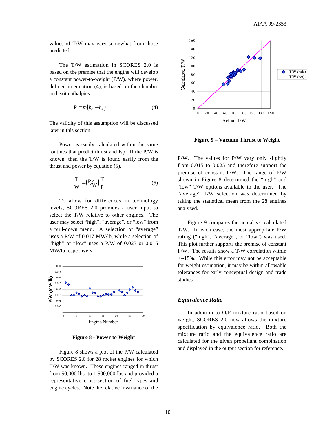values of T/W may vary somewhat from those predicted.

The T/W estimation in SCORES 2.0 is based on the premise that the engine will develop a constant power-to-weight (P/W), where power, defined in equation (4), is based on the chamber and exit enthalpies.

$$
P = \dot{m}(h_c - h_e) \tag{4}
$$

The validity of this assumption will be discussed later in this section.

Power is easily calculated within the same routines that predict thrust and Isp. If the P/W is known, then the T/W is found easily from the thrust and power by equation (5).

$$
\frac{T}{W} = \left(\frac{P}{W}\right)\frac{T}{P}
$$
\n(5)

To allow for differences in technology levels, SCORES 2.0 provides a user input to select the T/W relative to other engines. The user may select "high", "average", or "low" from a pull-down menu. A selection of "average" uses a P/W of 0.017 MW/lb, while a selection of "high" or "low" uses a P/W of 0.023 or 0.015 MW/lb respectively.



**Figure 8 - Power to Weight**

Figure 8 shows a plot of the P/W calculated by SCORES 2.0 for 28 rocket engines for which T/W was known. These engines ranged in thrust from 50,000 lbs. to 1,500,000 lbs and provided a representative cross-section of fuel types and engine cycles. Note the relative invariance of the



**Figure 9 – Vacuum Thrust to Weight**

P/W. The values for P/W vary only slightly from 0.015 to 0.025 and therefore support the premise of constant P/W. The range of P/W shown in Figure 8 determined the "high" and "low" T/W options available to the user. The "average" T/W selection was determined by taking the statistical mean from the 28 engines analyzed.

Figure 9 compares the actual vs. calculated T/W. In each case, the most appropriate P/W rating ("high", "average", or "low") was used. This plot further supports the premise of constant P/W. The results show a T/W correlation within  $+/-15\%$ . While this error may not be acceptable for weight estimation, it may be within allowable tolerances for early conceptual design and trade studies.

#### *Equivalence Ratio*

In addition to O/F mixture ratio based on weight, SCORES 2.0 now allows the mixture specification by equivalence ratio. Both the mixture ratio and the equivalence ratio are calculated for the given propellant combination and displayed in the output section for reference.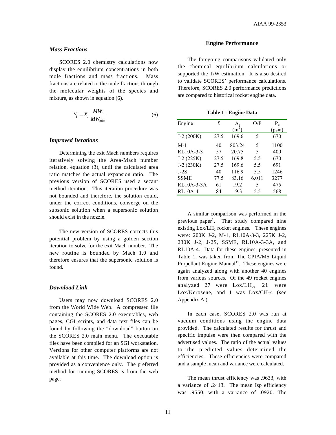#### *Mass Fractions*

SCORES 2.0 chemistry calculations now display the equilibrium concentrations in both mole fractions and mass fractions. Mass fractions are related to the mole fractions through the molecular weights of the species and mixture, as shown in equation (6).

$$
Y_i = X_i \frac{MW_i}{MW_{mix}} \tag{6}
$$

#### *Improved Iterations*

Determining the exit Mach numbers requires iteratively solving the Area-Mach number relation, equation (3), until the calculated area ratio matches the actual expansion ratio. The previous version of SCORES used a secant method iteration. This iteration procedure was not bounded and therefore, the solution could, under the correct conditions, converge on the subsonic solution when a supersonic solution should exist in the nozzle.

The new version of SCORES corrects this potential problem by using a golden section iteration to solve for the exit Mach number. The new routine is bounded by Mach 1.0 and therefore ensures that the supersonic solution is found.

#### *Download Link*

Users may now download SCORES 2.0 from the World Wide Web. A compressed file containing the SCORES 2.0 executables, web pages, CGI scripts, and data text files can be found by following the "download" button on the SCORES 2.0 main menu. The executable files have been compiled for an SGI workstation. Versions for other computer platforms are not available at this time. The download option is provided as a convenience only. The preferred method for running SCORES is from the web page.

#### **Engine Performance**

The foregoing comparisons validated only the chemical equilibrium calculations or supported the T/W estimation. It is also desired to validate SCORES' performance calculations. Therefore, SCORES 2.0 performance predictions are compared to historical rocket engine data.

**Table 1 - Engine Data**

| Engine         | ε.   | Α      | O/F   | $P_c$  |
|----------------|------|--------|-------|--------|
|                |      | (in    |       | (psia) |
| $J-2(200K)$    | 27.5 | 169.6  | 5     | 670    |
| $M-1$          | 40   | 803.24 | 5     | 1100   |
| RL10A-3-3      | 57   | 20.75  | 5     | 400    |
| $J-2(225K)$    | 27.5 | 169.8  | 5.5   | 670    |
| $J-2(230K)$    | 27.5 | 169.6  | 5.5   | 691    |
| $J-2S$         | 40   | 116.9  | 5.5   | 1246   |
| <b>SSME</b>    | 77.5 | 83.16  | 6.011 | 3277   |
| RL10A-3-3A     | 61   | 19.2   | 5     | 475    |
| <b>RL10A-4</b> | 84   | 19.3   | 5.5   | 568    |
|                |      |        |       |        |

A similar comparison was performed in the previous paper<sup>1</sup>. That study compared nine existing  $Lox/LH<sub>2</sub>$  rocket engines. These engines were: 200K J-2, M-1, RL10A-3-3, 225K J-2, 230K J-2, J-2S, SSME, RL10A-3-3A, and RL10A-4. Data for these engines, presented in Table 1, was taken from The CPIA/M5 Liquid Propellant Engine Manual<sup>11</sup>. These engines were again analyzed along with another 40 engines from various sources. Of the 49 rocket engines analyzed 27 were  $Lox/LH_2$ , 21 were Lox/Kerosene, and 1 was Lox/CH-4 (see Appendix A.)

In each case, SCORES 2.0 was run at vacuum conditions using the engine data provided. The calculated results for thrust and specific impulse were then compared with the advertised values. The ratio of the actual values to the predicted values determined the efficiencies. These efficiencies were compared and a sample mean and variance were calculated.

The mean thrust efficiency was .9633, with a variance of .2413. The mean Isp efficiency was .9550, with a variance of .0920. The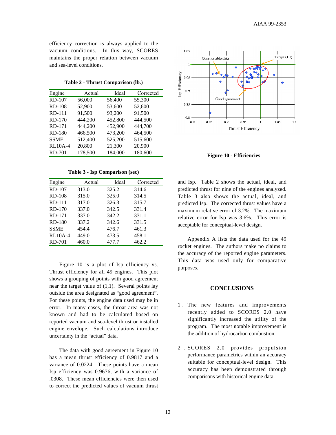efficiency correction is always applied to the vacuum conditions. In this way, SCORES maintains the proper relation between vacuum and sea-level conditions.

**Table 2 - Thrust Comparison (lb.)**

| Engine         | Actual  | Ideal   | Corrected |
|----------------|---------|---------|-----------|
| <b>RD-107</b>  | 56,000  | 56,400  | 55,300    |
| <b>RD-108</b>  | 52,900  | 53,600  | 52,600    |
| RD-111         | 91,500  | 93,200  | 91,500    |
| RD-170         | 444,200 | 452,800 | 444,500   |
| <b>RD-171</b>  | 444,200 | 452,900 | 444,700   |
| RD-180         | 466,500 | 473,200 | 464,500   |
| <b>SSME</b>    | 512,400 | 525,200 | 515,600   |
| <b>RL10A-4</b> | 20,800  | 21,300  | 20,900    |
| <b>RD-701</b>  | 178,500 | 184,000 | 180,600   |

**Table 3 - Isp Comparison (sec)**

| Engine        | Actual | Ideal | Corrected |
|---------------|--------|-------|-----------|
| <b>RD-107</b> | 313.0  | 325.2 | 314.6     |
| RD-108        | 315.0  | 325.0 | 314.5     |
| RD-111        | 317.0  | 326.3 | 315.7     |
| RD-170        | 337.0  | 342.5 | 331.4     |
| RD-171        | 337.0  | 342.2 | 331.1     |
| RD-180        | 337.2  | 342.6 | 331.5     |
| <b>SSME</b>   | 454.4  | 476.7 | 461.3     |
| RL10A-4       | 449.0  | 473.5 | 458.1     |
| RD-701        | 460.0  | 477.7 | 462.2     |

Figure 10 is a plot of Isp efficiency vs. Thrust efficiency for all 49 engines. This plot shows a grouping of points with good agreement near the target value of  $(1,1)$ . Several points lay outside the area designated as "good agreement". For these points, the engine data used may be in error. In many cases, the throat area was not known and had to be calculated based on reported vacuum and sea-level thrust or installed engine envelope. Such calculations introduce uncertainty in the "actual" data.

The data with good agreement in Figure 10 has a mean thrust efficiency of 0.9817 and a variance of 0.0224. These points have a mean Isp efficiency was 0.9676, with a variance of .0308. These mean efficiencies were then used to correct the predicted values of vacuum thrust



**Figure 10 - Efficiencies**

and Isp. Table 2 shows the actual, ideal, and predicted thrust for nine of the engines analyzed. Table 3 also shows the actual, ideal, and predicted Isp. The corrected thrust values have a maximum relative error of 3.2%. The maximum relative error for Isp was 3.6%. This error is acceptable for conceptual-level design.

Appendix A lists the data used for the 49 rocket engines. The authors make no claims to the accuracy of the reported engine parameters. This data was used only for comparative purposes.

## **CONCLUSIONS**

- 1 . The new features and improvements recently added to SCORES 2.0 have significantly increased the utility of the program. The most notable improvement is the addition of hydrocarbon combustion.
- 2 . SCORES 2.0 provides propulsion performance parametrics within an accuracy suitable for conceptual-level design. This accuracy has been demonstrated through comparisons with historical engine data.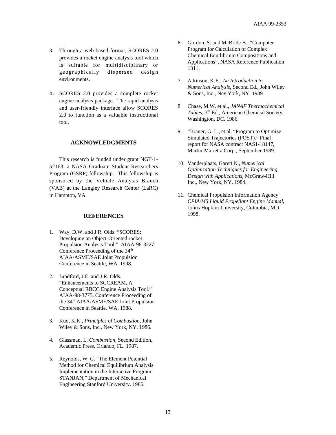- 3. Through a web-based format, SCORES 2.0 provides a rocket engine analysis tool which is suitable for multidisciplinary or geographically dispersed design environments.
- 4 . SCORES 2.0 provides a complete rocket engine analysis package. The rapid analysis and user-friendly interface allow SCORES 2.0 to function as a valuable instructional tool.

## **ACKNOWLEDGMENTS**

This research is funded under grant NGT-1- 52163, a NASA Graduate Student Researchers Program (GSRP) fellowship. This fellowship is sponsored by the Vehicle Analysis Branch (VAB) at the Langley Research Center (LaRC) in Hampton, VA.

#### **REFERENCES**

- 1. Way, D.W. and J.R. Olds. "SCORES: Developing an Object-Oriented rocket Propulsion Analysis Tool." AIAA-98-3227. Conference Proceeding of the 34<sup>th</sup> AIAA/ASME/SAE Joint Propulsion Conference in Seattle, WA. 1998.
- 2. Bradford, J.E. and J.R. Olds. "Enhancements to SCCREAM, A Conceptual RBCC Engine Analysis Tool." AIAA-98-3775. Conference Proceeding of the 34<sup>th</sup> AIAA/ASME/SAE Joint Propulsion Conference in Seattle, WA. 1988.
- 3. Kuo, K.K., *Principles of Combustion*, John Wiley & Sons, Inc., New York, NY. 1986.
- 4. Glassman, I., *Combustion*, Second Edition, Academic Press, Orlando, FL. 1987.
- 5. Reynolds, W. C. "The Element Potential Method for Chemical Equilibrium Analysis Implementation in the Interactive Program STANJAN," Department of Mechanical Engineering Stanford University. 1986.
- 6. Gordon, S. and McBride B., "Computer Program for Calculation of Complex Chemical Equilibrium Compositions and Applications", NASA Reference Publication 1311.
- 7. Atkinson, K.E., *An Introduction to Numerical Analysis*, Second Ed., John Wiley & Sons, Inc., Ney York, NY. 1989
- 8. Chase, M.W. et al., *JANAF Thermochemical Tables*, 3rd Ed., American Chemical Society, Washington, DC. 1986.
- 9. "Brauer, G. L., et al. "Program to Optimize Simulated Trajectories (POST)." Final report for NASA contract NAS1-18147, Martin-Marietta Corp., September 1989.
- 10. Vanderplaats, Garett N., *Numerical Optimization Techniques for Engineering Design with Applications*, McGraw-Hill Inc., New York, NY. 1984.
- 11. Chemical Propulsion Information Agency *CPIA/M5 Liquid Propellant Engine Manual*, Johns Hopkins University, Columbia, MD. 1998.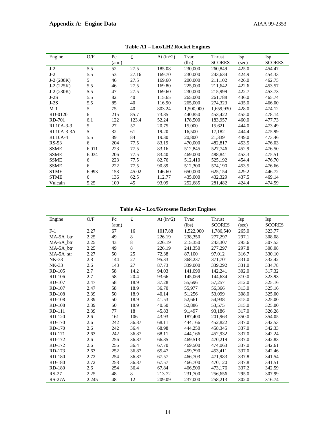| Engine         | O/F   | Pc    | ε     | At $(in^2)$ | Tvac      | Thrust        | <b>Isp</b> | Isp           |
|----------------|-------|-------|-------|-------------|-----------|---------------|------------|---------------|
|                |       | (atm) |       |             | (lbs)     | <b>SCORES</b> | (sec)      | <b>SCORES</b> |
| $J-2$          | 5.5   | 52    | 27.5  | 185.08      | 230,000   | 260,849       | 425.0      | 454.47        |
| $J-2$          | 5.5   | 53    | 27.16 | 169.70      | 230,000   | 243,634       | 424.9      | 454.33        |
| $J-2(200K)$    | 5     | 46    | 27.5  | 169.60      | 200,000   | 211,102       | 426.0      | 462.75        |
| $J-2(225K)$    | 5.5   | 46    | 27.5  | 169.80      | 225,000   | 211,642       | 422.6      | 453.57        |
| $J-2(230K)$    | 5.5   | 47    | 27.5  | 169.60      | 230,000   | 215,999       | 422.7      | 453.73        |
| $J-2S$         | 5.5   | 82    | 40    | 115.65      | 265,000   | 261,788       | 436.0      | 465.74        |
| $J-2S$         | 5.5   | 85    | 40    | 116.90      | 265,000   | 274,323       | 435.0      | 466.00        |
| $M-1$          | 5     | 75    | 40    | 803.24      | 1,500,000 | 1,659,930     | 428.0      | 474.12        |
| RD-0120        | 6     | 215   | 85.7  | 73.85       | 440,850   | 453,422       | 455.0      | 478.14        |
| <b>RD-701</b>  | 6.1   | 122   | 123.4 | 52.24       | 178,500   | 183,957       | 460.0      | 477.73        |
| RL10A-3-3      | 5     | 27    | 57    | 20.75       | 15,000    | 15,621        | 444.0      | 473.49        |
| RL10A-3-3A     | 5     | 32    | 61    | 19.20       | 16,500    | 17,182        | 444.4      | 475.99        |
| <b>RL10A-4</b> | 5.5   | 39    | 84    | 19.30       | 20,800    | 21,339        | 449.0      | 473.46        |
| $RS-53$        | 6     | 204   | 77.5  | 83.19       | 470,000   | 482,817       | 453.5      | 476.03        |
| <b>SSME</b>    | 6.011 | 223   | 77.5  | 83.16       | 512,845   | 527,746       | 452.9      | 476.50        |
| <b>SSME</b>    | 6.034 | 206   | 77.5  | 83.40       | 469,000   | 488.841       | 453.3      | 475.51        |
| <b>SSME</b>    | 6     | 223   | 77.5  | 82.76       | 512,410   | 525,192       | 454.4      | 476.70        |
| <b>SSME</b>    | 6     | 222   | 77.5  | 90.89       | 512,300   | 574,190       | 453.5      | 476.66        |
| <b>STME</b>    | 6.993 | 153   | 45.02 | 146.60      | 650,000   | 625,154       | 429.2      | 446.72        |
| <b>STME</b>    | 6     | 136   | 62.5  | 112.77      | 435,000   | 432,329       | 437.5      | 469.14        |
| Vulcain        | 5.25  | 109   | 45    | 93.09       | 252,685   | 281,482       | 424.4      | 474.59        |

**Table A1 – Lox/LH2 Rocket Engines**

**Table A2 – Lox/Kerosene Rocket Engines**

| Engine        | O/F   | Pc    | ε     | At $(in^2)$ | Tvac      | Thrust        | Isp   | Isp           |
|---------------|-------|-------|-------|-------------|-----------|---------------|-------|---------------|
|               |       | (atm) |       |             | (lbs)     | <b>SCORES</b> | (sec) | <b>SCORES</b> |
| $F-1$         | 2.27  | 67    | 16    | 1017.88     | 1,522,000 | 1,786,540     | 265.0 | 323.77        |
| MA-5A btr     | 2.25  | 49    | 8     | 226.19      | 238.350   | 277.297       | 297.1 | 308.08        |
| MA-5A_btr     | 2.25  | 43    | 8     | 226.19      | 215,350   | 243,307       | 295.6 | 307.53        |
| MA-5A btr     | 2.25  | 49    | 8     | 226.19      | 241,350   | 277,297       | 297.8 | 308.08        |
| MA-5A str     | 2.27  | 50    | 25    | 72.38       | 87.100    | 97.012        | 316.7 | 330.10        |
| $NK-33$       | 2.8   | 144   | 27    | 95.33       | 368,237   | 371,701       | 331.0 | 332.42        |
| NK-33         | 2.6   | 143   | 27    | 87.73       | 339,000   | 339.292       | 331.0 | 334.78        |
| RD-105        | 2.7   | 58    | 14.2  | 94.03       | 141,090   | 142,241       | 302.0 | 317.32        |
| RD-106        | 2.7   | 58    | 20.4  | 93.66       | 145,069   | 144,634       | 310.0 | 323.93        |
| RD-107        | 2.47  | 58    | 18.9  | 37.28       | 55,696    | 57,257        | 312.0 | 325.16        |
| <b>RD-107</b> | 2.47  | 58    | 18.9  | 36.70       | 55,977    | 56,366        | 313.0 | 325.16        |
| <b>RD-108</b> | 2.39  | 50    | 18.9  | 40.14       | 51,256    | 53,099        | 308.0 | 325.00        |
| <b>RD-108</b> | 2.39  | 50    | 18.9  | 41.53       | 52,661    | 54,938        | 315.0 | 325.00        |
| <b>RD-108</b> | 2.39  | 50    | 18.9  | 40.50       | 52.886    | 53,575        | 315.0 | 325.00        |
| <b>RD-111</b> | 2.39  | 77    | 18    | 45.83       | 91,497    | 93,186        | 317.0 | 326.28        |
| RD-120        | 2.6   | 161   | 106   | 43.93       | 187,400   | 201,963       | 350.0 | 354.05        |
| RD-170        | 2.6   | 242   | 36.87 | 68.11       | 444.166   | 452.822       | 337.0 | 342.53        |
| RD-170        | 2.6   | 242   | 36.4  | 68.98       | 444,250   | 458,345       | 337.0 | 342.33        |
| <b>RD-171</b> | 2.63  | 242   | 36.87 | 68.11       | 444,166   | 452,932       | 337.0 | 342.24        |
| RD-172        | 2.6   | 256   | 36.87 | 66.85       | 469.513   | 470.219       | 337.0 | 342.83        |
| RD-172        | 2.6   | 255   | 36.4  | 67.70       | 469,500   | 474,063       | 337.0 | 342.61        |
| RD-173        | 2.63  | 252   | 36.87 | 65.47       | 459,790   | 453,411       | 337.0 | 342.46        |
| <b>RD-180</b> | 2.72  | 254   | 36.87 | 67.57       | 466,703   | 471,983       | 337.8 | 341.54        |
| <b>RD-180</b> | 2.72  | 253   | 36.87 | 67.57       | 466,700   | 470,120       | 337.8 | 341.51        |
| <b>RD-180</b> | 2.6   | 254   | 36.4  | 67.84       | 466,500   | 473,176       | 337.2 | 342.59        |
| $RS-27$       | 2.25  | 48    | 8     | 213.72      | 231,700   | 256,656       | 295.0 | 307.99        |
| $RS-27A$      | 2.245 | 48    | 12    | 209.09      | 237,000   | 258.213       | 302.0 | 316.74        |